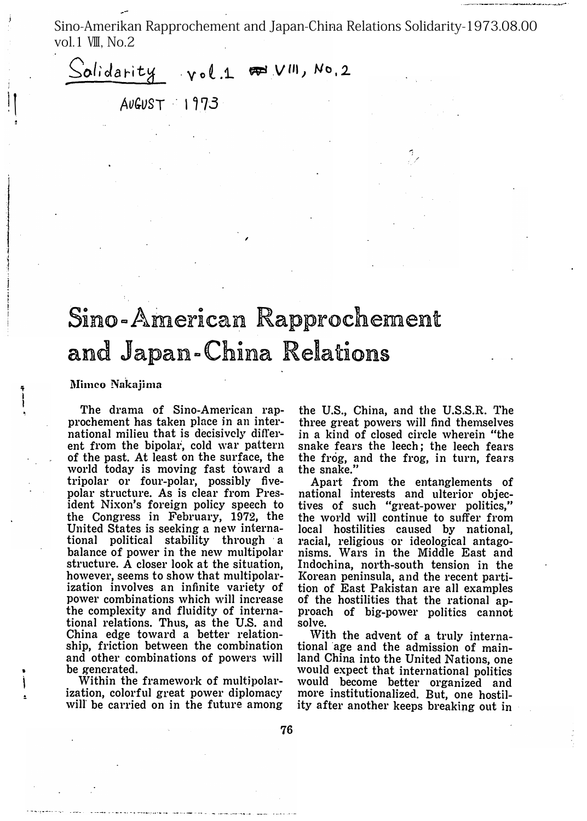Sino-Amerikan Rapprochement and Japan-China Relations Solidarity-1973.08.00 vol.1  $V\mathbb{I}$ . No.2

 $v \circ l$  1  $\mathcal{F}$   $V^{11}$ ,  $N \circ 2$ Solidarity

 $AUGUST = 1973$ 

## Sino-American Rapprochement and Japan-China Relations

Mimeo Nakajima

The drama of Sino-American rapprochement has taken place in an international milieu that is decisively different from the bipolar, cold war pattern of the past. At least on the surface, the world today is moving fast toward a tripolar or four-polar, possibly fivepolar structure. As is clear from President Nixon's foreign policy speech to the Congress in February, 1972, the United States is seeking a new international political stability through a balance of power in the new multipolar structure. A closer look at the situation, however, seems to show that multipolarization involves an infinite variety of power combinations which will increase the complexity and fluidity of international relations. Thus, as the U.S. and China edge toward a better relationship, friction between the combination and other combinations of powers will be generated.

Within the framework of multipolarization, colorful great power diplomacy will be carried on in the future among

the U.S., China, and the U.S.S.R. The three great powers will find themselves in a kind of closed circle wherein "the snake fears the leech; the leech fears the frog, and the frog, in turn, fears the snake.'

Apart from the entanglements of national interests and ulterior objectives of such "great-power politics," the world will continue to suffer from local hostilities caused by national, racial, religious or ideological antagonisms. Wars in the Middle East and Indochina, north-south tension in the Korean peninsula, and the recent partition of East Pakistan are all examples of the hostilities that the rational approach of big-power politics cannot solve.

With the advent of a truly international age and the admission of mainland China into the United Nations, one would expect that international politics would become better organized and more institutionalized. But, one hostility after another keeps breaking out in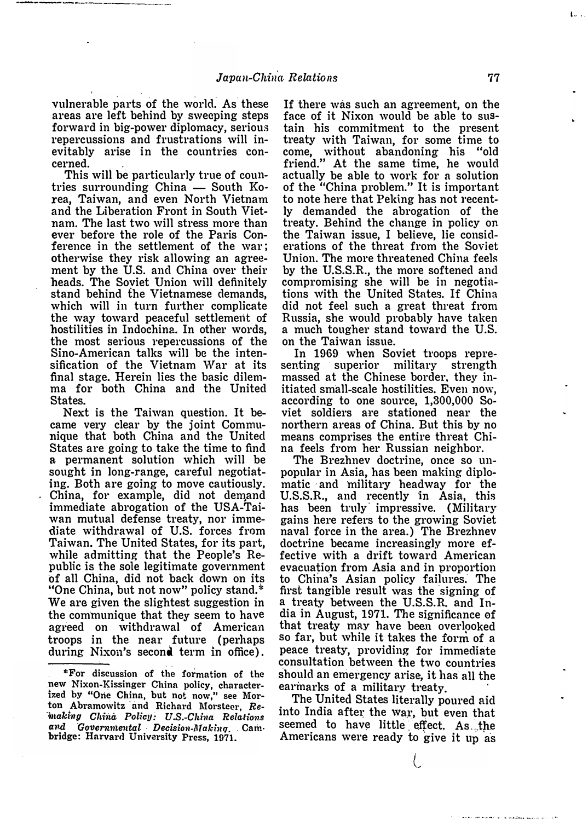vulnerable parts of the world. As these areas are left behind by sweeping steps forward in big-power diplomacy, serious repercussions and frustrations will inevitably arise in the countries concerned.

This will be particularly true of coun・ tries surrounding China  $-$  South Korea, Taiwan, and even North Vietnam and the Liberation Front in South Vietnam. The last two will stress more than ever before the role of the Paris Conference in the settlement of the war; otherwise they risk allowing an agreement by the U.S. and China over their heads. The Soviet Union will definitely stand behind the Vietnamese demands, which will in turn further complicate the way toward peaceful settlement of hostilities in Indochina. In other words, the most serious repercussions of the Sino-American talks will be the intensification of the Vietnam War at its final stage. Herein lies the basic dilemma for both China and the United States.

Next is the Taiwan question. It became very clear by the joint Communique that both China and the United States are going to take the time to find a permanent solution which will be sought in long-range, careful negotiating. Both are going to move cautiously. China, for example, did not demand immediate abrogation of the USA-Taiwan mutual defense treaty, nor immediate withdrawal of U.S. forces from Taiwan. The United States, for its part, while admitting that the People's Republic is the sole legitimate government of all China, did not back clown on its "One China, but not now"policy stand.\* We are given the slightest suggestion in the communique that they seem to have agreed on withdrawal of American troops in the near future (perhaps during Nixon's second term in office).

If there was such an agreement, on the face of it Nixon would be able to sustain his commitment to the present treaty with Taiwan, for some time to come, without abandoning his "old friend." At the same time, he would actually be able to work for a solution of the "China problem." It is important to note here that Peking has not recently demand�d the abrogation of the treaty. Behind the change in policy on the Taiwan issue, I believe, lie consiclerations of the threat from the Soviet Union. The more threatened China feels by the U.S.S.R., the more softened and compromising she will be in negotiations with the United States. If China did not feel such a great threat from Russia, she would probably have taken a much tougher stand toward the U.S. on the Taiwan issue.

In 1969 when Soviet troops repre-<br>nting superior military strength senting superior massed at the Chinese border, they initiated small-scale hostilities. Even now, according to one source, 1,300,000 Soviet soldiers are stationed near the northern areas of China. But this by no means comprises the entire threat China feels from her Russian neighbor.

The Brezhnev doctrine, once so unpopular in Asia, has been making diplomatic and military headway for the U.S.S.R., and recently in Asia, this matic and military headway for the<br>U.S.S.R., and recently in Asia, this<br>has been truly impressive. (Military gains here refers to the growing Soviet naval force in the area.) The Brezhnev doctrine became increasingly more effective with a drift toward American evacuation from Asia and in proportion to China's Asian policy failures. The first tangible result was the signing of a treaty between the U.S.S.R. and India in August, 1971. The significance of that treaty may have been overlooked so far, but while it takes the form of a peace treaty, providing for immediate consultation between the two countries should an emergency arise, it has all the earmarks of a military treaty.

The United States literally poured aid into India after the war, but even that seemed to have little effect. As the Americans were ready to give it up as l.--

<sup>\*</sup>For discussion of the formation of the new Nixon-Kissinger China policy, characterized by "One China, but not now," see Mornew Nixon-Kissinger China policy, character-<br>ized by "One China, but not now," see Mor-<br>ton Abramowitz and Richard Morsteer, Remaking China Policy: U.S.-China Relations ton Abramowitz and Richard Morsteer, Re-<br>making Chinà Policy: U.S.-China Relations<br>and Governmental Decision-Making, Cambridge: Harvard University Press, 1971.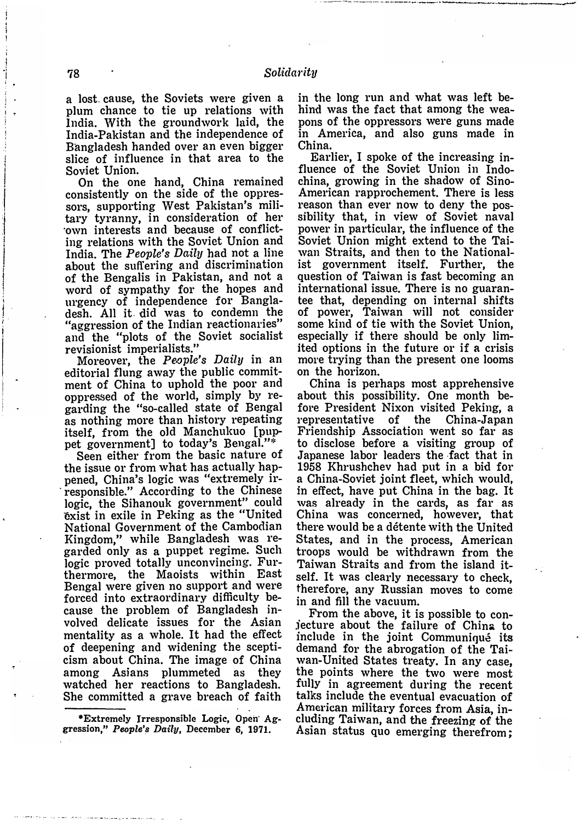a lost cause, the Soviets were given a plum chance to tie up relations with India. With the groundwork laid, the India-Pakistan and the independence of Bangladesh handed over an even bigger slice of influence in that area to the Soviet Union.

On the one hand, China remained consistently on the side of the oppressors, supporting West Pakistan's military tyranny, in consideration of her own interests and because of conflicting relations with the Soviet Union and India. The *People's Daily* had not a line about the suffering and discrimination of the Bengalis in Pakistan, and not a word of sympathy for the hopes and urgency of independence for Bangladesh. All it did was to condemn the "aggression of the Indian reactionaries" and the "plots of the Soviet socialist revisionist imperialists."

Moreover, the *People's Daily* in an editorial flung away the public commitment of China to uphold the poor and oppressed of the world, simply by regarding the "so-called state of Bengal as nothing more than history repeating itself, from the old Manchukuo [puppet government] to today's Bengal."\*

Seen either from the basic nature of the issue or from what has actually happened, China's logic was "extremely irresponsible." According to the Chinese logic, the Sihanouk government" could exist in exile in Peking as the "United National Government of the Cambodian Kingdom," while Bangladesh was regarded only as a puppet regime. Such logic proved totally unconvincing. Furthermore, the Maoists within East Bengal were given no support and were forced into extraordinary difficulty because the problem of Bangladesh involved delicate issues for the Asian mentality as a whole. It had the effect of deepening and widening the scepticism about China. The image of China among Asians plummeted as they watched her reactions to Bangladesh. She committed a grave breach of faith

\*Extremely Irresponsible Logic, Open Aggression," People's Daily, December 6, 1971.

in the long run and what was left behind was the fact that among the weapons of the oppressors were guns made in America, and also guns made in China.

Earlier, I spoke of the increasing influence of the Soviet Union in Indochina, growing in the shadow of Sino-American rapprochement. There is less reason than ever now to deny the possibility that, in view of Soviet naval power in particular, the influence of the Soviet Union might extend to the Taiwan Straits, and then to the Nationalist government itself. Further, the question of Taiwan is fast becoming an international issue. There is no guarantee that, depending on internal shifts of power, Taiwan will not consider some kind of tie with the Soviet Union, especially if there should be only limited options in the future or if a crisis more trying than the present one looms on the horizon.

China is perhaps most apprehensive about this possibility. One month before President Nixon visited Peking, a representative of the China-Japan Friendship Association went so far as to disclose before a visiting group of Japanese labor leaders the fact that in 1958 Khrushchev had put in a bid for a China-Soviet joint fleet, which would, in effect, have put China in the bag. It was already in the cards, as far as China was concerned, however, that there would be a détente with the United States, and in the process, American troops would be withdrawn from the Taiwan Straits and from the island itself. It was clearly necessary to check, therefore, any Russian moves to come in and fill the vacuum.

From the above, it is possible to conjecture about the failure of China to include in the joint Communiqué its demand for the abrogation of the Taiwan-United States treaty. In any case, the points where the two were most fully in agreement during the recent talks include the eventual evacuation of American military forces from Asia, including Taiwan, and the freezing of the Asian status quo emerging therefrom;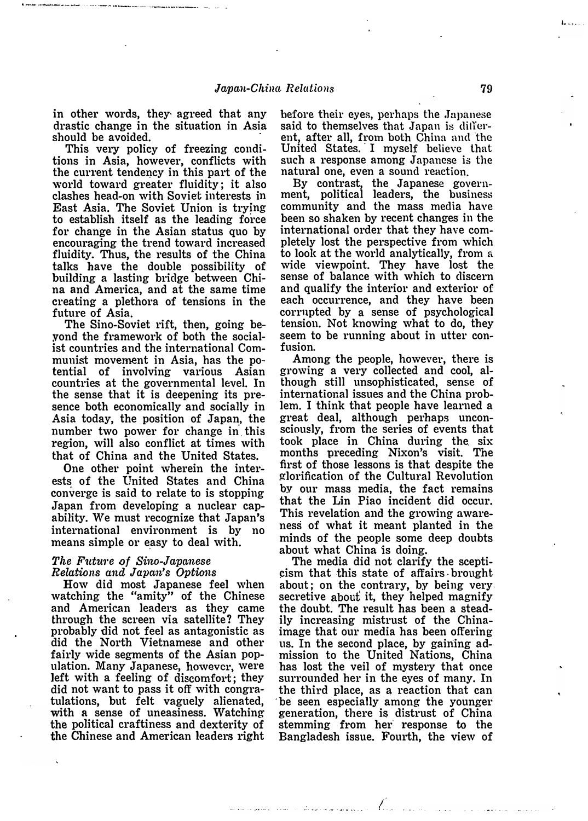in other words, they agreed that any drastic change in the situation in Asia should be avoided.

This very policy of freezing conditions in Asia, however, conflicts with the current tendency in this part of the world toward greater fluidity; it also clashes head-on with Soviet interests in East Asia. The Soviet Union is trying to establish itself as the leading force for change in the Asian status quo by encouraging the trend toward increased fluidity. Thus, the results of the China talks have the double possibility of building a lasting bridge between China and America, and at the same time creating a plethora of tensions in the future of Asia

The Sino-Soviet rift, then, going beyond the framework of both the socialist countries and the international Communist movement in Asia, has the potential of involving various Asian countries at the governmental level. In the sense that it is deepening its presence both economically and socially in Asia today, the position of Japa�, the number two power for change in this region, will also conflict at times with that of China and the United States.

One other point wherein the interests of the United States and China converge is said to relate to is stopping Japan from developing a nuclear capability. We must recognize that Japan's international environment is by no means simple or easy to deal with.

## The Future of Sino-Japanese Relations and Japan's Options

How did most Japanese feel when watching the "amity" of the Chinese and American leaders as they came through the screen via satellite? They probably did not feel as antagonistic as did the North Vietnamese and other fairly wide segments of the Asian population. Many Japanese, however, were left with a feeling of discomfort; they did not want to pass it off with congratulations, but felt vaguely alienated, with a sense of uneasiness. Watching the political craftiness and dexterity of the Chinese and American leaders right before their eyes, perhaps the Japanese said to themselves that Japan is different, after all, from both China and the United States. I myself believe that such a response among Japanese is the natural one, even a sound reaction.

By contrast, the Japanese government, political leaders, the business community and the mass media have been so shaken by recent changes in the international order that they have completely lost the perspective from which to look at the world analytically, from <sup>a</sup> wide viewpoint. They have lost the sense of balance with which to discern and qualify the interior and exterior of each occurrence, and they have been corrupted by a sense of psychological tension. Not knowing what to do, they seem to be running about in utter confusion.

Among the people, however, there is growing a very collected and cool, although still unsophisticated, sense of international issues and the China problem. I think that people have learned a great deal, although perhaps unconsciously, from the series of events that took place in China during the. six months preceding Nixon's visit. The first of those lessons is that despite the glorification of the Cultural Revolution by our mass media, the fact remains that the Lin Piao incident did occur. This revelation and the growing awareness of what it meant planted in the minds of the people some deep doubts about what China is doing.

The media did not clarify the scepti �ism that this state of affairs. brought about; on the contrary, by being very. secretive about it, they helped magnify the doubt. The result has been a steadily increasing mistrust of the Chinaimage that our media has been offering us. In the second place, by gaining admission to the United Nations, China has lost the veil of mystery that once surrounded her in the eyes of many. In the third place, as a reaction that can be seen especially among the younger generation, there i� distrust of China stemming from her response to the Bangladesh issue. Fourth, the view of

よ

المراوية والمتحدث والمتحدث والمتحدث

』.『・・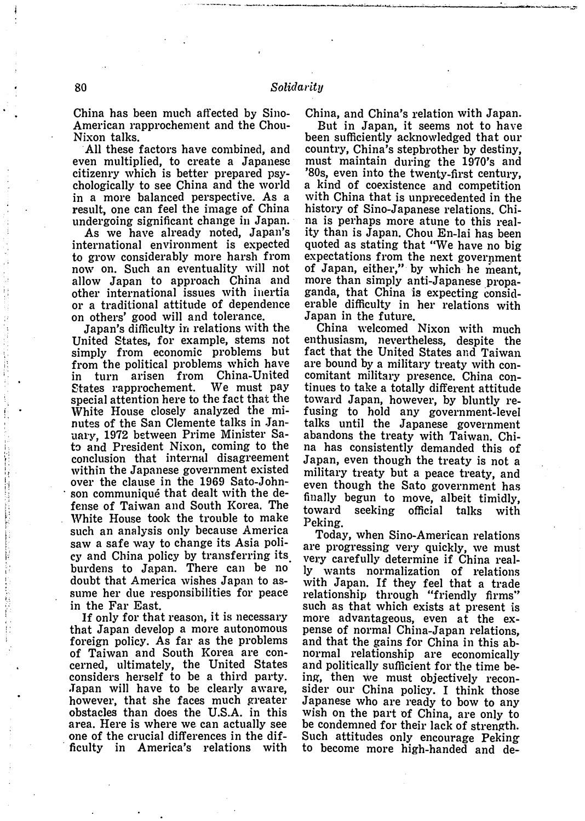China has been much affected by Sino-American rapprochement and the Chou-Nixon talks.

All these factors have combined, and even multiplied, to create a Japanese citizenry which is better prepared psychologically to see China and the world in a more balanced perspective. As a result, one can feel the image of China undergoing significant change in Japan.

As we have already noted, Japan's international environment is expected to grow considerably more harsh from now on. Such an eventuality will not allow Japan to approach China and other international issues with inertia or a traditional attitude of dependence on others' good will and tolerance.

Japan's difficulty in relations with the United States, for example, stems not simply from economic problems but from the political problems which have<br>in turn arisen from China-United in turn arisen from China-United States rapprochement. special attention here to the fact that the White House closely analyzed the  $mi$ nutes of the San Clemente talks in January. 1972 between Prime Minister Sato and President Nixon, coming to the conclusion that internal disagreement within the Japanese government existed over the clause in the 1969 Sato-John son communiqué that dealt with the defense of Taiwan and South Korea. The White House took the trouble to make such an analysis only because America saw a safe way to change its Asia policy and China policy by transferring its. burdeus to Japan. There can be no doubt that America wishes Japan to assume her due responsibilities for peace in the Far East.

If only for that reason, it is necessary that Japan develop a more autonomous foreign policy. As far as the problems of Taiwan and South Korea are concerned, ultimately, the United States considers herself to be a third party. • Japan will have to be clearly aware, however, that she faces much greater obstacles than does the U.S.A. in this area. Here is where we. can actually see one of the crucial differences in the difficulty in America's relations with

China, and China's relation with Japan.

-�由』·-・-』・ー-ー=竺

But in Japan, it seems not to have been sufficiently acknowledged that our country, China's stepbrother by destiny, must maintain during the 1970's and '80s, even into the twenty-first century, a kind of coexistence and competition with China that is unprecedented in the history of Sino-Japanese relations. China is perhaps more atune to this reality than is Japan. Chou En-lai has been quoted as stating that "We have no big expectations from the next government of Japan, either," by which he meant, more than simply anti-Japanese propaganda, that China is expecting consiclerable difficulty in her relations with Japan in the future.

China welcomed Nixon with much enthusiasm, nevertheless, despite the fact that the United States and Taiwan are bound by a military treaty with concomitant military presence. China continues to take a totally different attitude toward Japan, however, by bluntly refusing to hold any government-level talks until the Japanese government abandons the treaty with Taiwan. China has consistently demanded this of Japan, even though the treaty is not a military treaty but a peace treaty, and even though the Sato government has finaJly begun to move, albeit timidly, toward seeking official talks with Peking.

Today, when Sino・American relations are progressing very quickly, we must very carefully determine if China really wants normalization of relations with Japan. If they feel that a trade relationship through "friendly firms" such as that which exists at present is more advantageous, even at the expense of normal China-Japan relations, and that the gains for China in this abnormal relationship are economically and politically sufficient for the time being, then we must objectively reconsider our China policy. I think those Japanese who are ready to bow to any wish on the part of China, are only to be condemned for their lack of strength. Such attitudes only encourage Peking to become more high-handed and de-

|<br>|<br>|<br>| ・v,. l'lL

1・

 $\mathcal{L}^{\text{L}}_{\text{L}}$  ,  $\mathcal{L}^{\text{L}}_{\text{L}}$  ,  $\mathcal{L}^{\text{L}}_{\text{L}}$  ,  $\mathcal{L}^{\text{L}}_{\text{L}}$  ,  $\mathcal{L}^{\text{L}}_{\text{L}}$  ,  $\mathcal{L}^{\text{L}}_{\text{L}}$  ,  $\mathcal{L}^{\text{L}}_{\text{L}}$  ,  $\mathcal{L}^{\text{L}}_{\text{L}}$  ,  $\mathcal{L}^{\text{L}}_{\text{L}}$  ,  $\mathcal{L}^{\text{L}}_{$ ) and the left of the left of the left of the left of the left of the left of the left of the left of the left of the left of the left of the left of the left of the left of the left of the left of the left of the left of

!ilfv

a ll-- --vjft--

in a company of the con-

-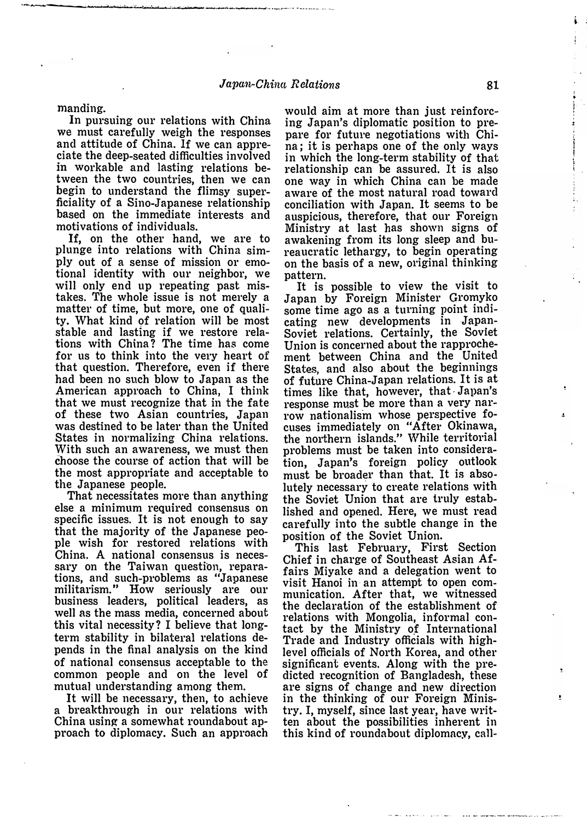manding.

In pursuing our relations with China we must carefully weigh the responses and attitude of China. If we can appreciate the deep-seated difficulties involved in workable and lasting relations between the two countries, then we can begin to understand the flimsy superficiality of a Sino-Japanese relationship based on the immediate interests and motivations of individuals.

相臨h目・...,・a岡崎--・\_....... \_. ' ぷ骨a』M」制.\_\_..,\_,由躍・a同組ー・・・・・個】・・・曲品目・』a・e目・山.......喝・・・・...,. \_\_ .J・・一、.,一 一一

If, on the other hand, we are to plunge into relations with China simply out of a sense of mission or emotional identity with our neighbor, we will only end up repeating past mistakes. The whole issue is not merely a matter of time, but more, one of quality. What kind of relation will be most stable and lasting if we restore relations with China? The time has come for us to think into the very heart of that question. Therefore, even if there had been no such blow to Japan as the American approach to China, I think that we must recognize that in the fate of these two Asian countries, Japan was destined to be later than the United States in normalizing China relations. With such an awareness, we must then choose the course of action that will be the most appropriate and acceptable to the Japanese people.

That necessitates more than anything else a minimum required consensus on specific issues. It is not enough to say that the majority of the Japanese people wish for restored relations with China. A national consensus is necessary on the Taiwan question, reparations, and such-problems as "Japanese militarism." How seriously are our business leaders, political leaders, as well as the mass media, concerned about this vital necessity? I believe that longterm stability in bilateral relations depends in the final analysis on the kind of national consensus acceptable to the common people and on the level of mutual understanding among them.

It will be necessary, then, to achieve a breakthrough in our relations with China using a somewhat roundabout approach to diplomacy. Such an approach would aim at more than just reinforcing Japan's diplomatic position to prepare for future negotiations with China; it is perhaps one of the only ways in which the long-term stability of that relationship can be assured. It is also one way in which China can be made aware of the most natural road toward conciliation with Japan. It seems to be auspicious, therefore, that our Foreign Ministry at last has shown signs of awakening from its long sleep and bureaucratic lethargy, to begin operating on the basis of a new, original thinking pattern.

It is possible to view the visit to Japan by Foreign Minister Gromyko some time ago as a turning point indieating new developments in Japan-Soviet relations. Certainly, the Soviet Union is concerned about the rapprochement between China and the United States. and also about the beginnings of future China-Japan relations. It is at times like that, however, that Japan's response must be more than a very narrow nationalism whose perspective focuses immediately on "After Okinawa, the northern islands." While territorial problems must be taken into consideration, Japan's foreign policy outlook must be broader than that. It is absolutely necessary to create relations with the Soviet Union that are truly established and opened. Here, we must read careftllly into the subtle change in the position of the Soviet Union.

This last February, First Section Chief in charge of Southeast Asian Affairs Miyake and a delegation went to visit Hanoi in· an attempt to open communication. After that, we witnessed the declaration of the establishment of relations with Mongolia, informal contact by the Ministry of International Trade and Industry officials with highlevel officials of North Korea, and other significant events. Along with the predieted recognition of Bangladesh, these are signs of change and new direction in the thinking of our Foreign Ministry. I, myself, since last year, have written about the possibiliti�s inherent in this kind of roundabout diplomacy, call、

-ea・7・tp・;42・4色V・1・tf',r't